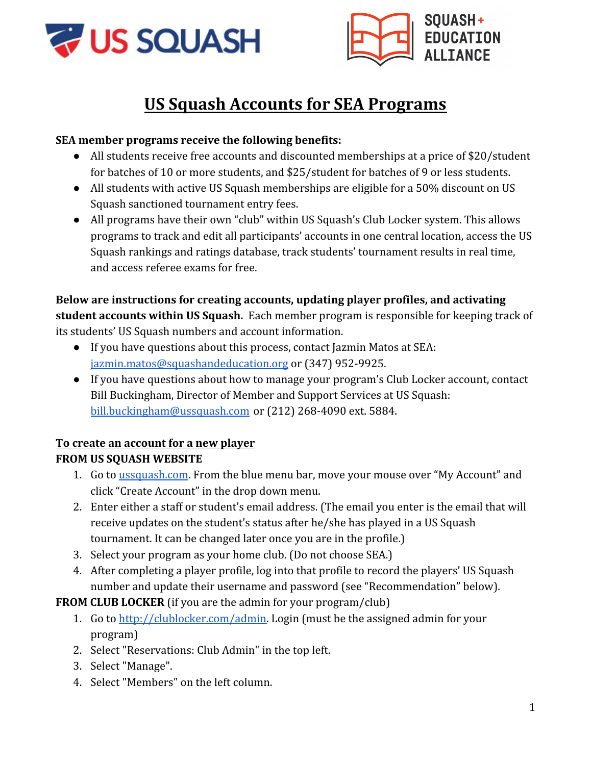



# **US Squash Accounts for SEA Programs**

### **SEA member programs receive the following benefits:**

- All students receive free accounts and discounted memberships at a price of \$20/student for batches of 10 or more students, and \$25/student for batches of 9 or less students.
- All students with active US Squash memberships are eligible for a 50% discount on US Squash sanctioned tournament entry fees.
- All programs have their own "club" within US Squash's Club Locker system. This allows programs to track and edit all participants' accounts in one central location, access the US Squash rankings and ratings database, track students' tournament results in real time, and access referee exams for free.

## **Below are instructions for creating accounts, updating player profiles, and activating student accounts within US Squash.** Each member program is responsible for keeping track of its students' US Squash numbers and account information.

- If you have questions about this process, contact Jazmin Matos at SEA: [jazmin.matos@squashandeducation.org](mailto:jazmin.matos@squashandeducation.org) or (347) 952-9925.
- If you have questions about how to manage your program's Club Locker account, contact Bill Buckingham, Director of Member and Support Services at US Squash: [bill.buckingham@ussquash.com](mailto:bill.buckingham@ussquash.com) or (212) 268-4090 ext. 5884.

## **To create an account for a new player**

## **FROM US SQUASH WEBSITE**

- 1. Go to [ussquash.com.](http://www.ussquash.com/) From the blue menu bar, move your mouse over "My Account" and click "Create Account" in the drop down menu.
- 2. Enter either a staff or student's email address. (The email you enter is the email that will receive updates on the student's status after he/she has played in a US Squash tournament. It can be changed later once you are in the profile.)
- 3. Select your program as your home club. (Do not choose SEA.)
- 4. After completing a player profile, log into that profile to record the players' US Squash number and update their username and password (see "Recommendation" below).

**FROM CLUB LOCKER** (if you are the admin for your program/club)

- 1. Go to [http://clublocker.com/admin.](http://clublocker.com/admin) Login (must be the assigned admin for your program)
- 2. Select "Reservations: Club Admin" in the top left.
- 3. Select "Manage".
- 4. Select "Members" on the left column.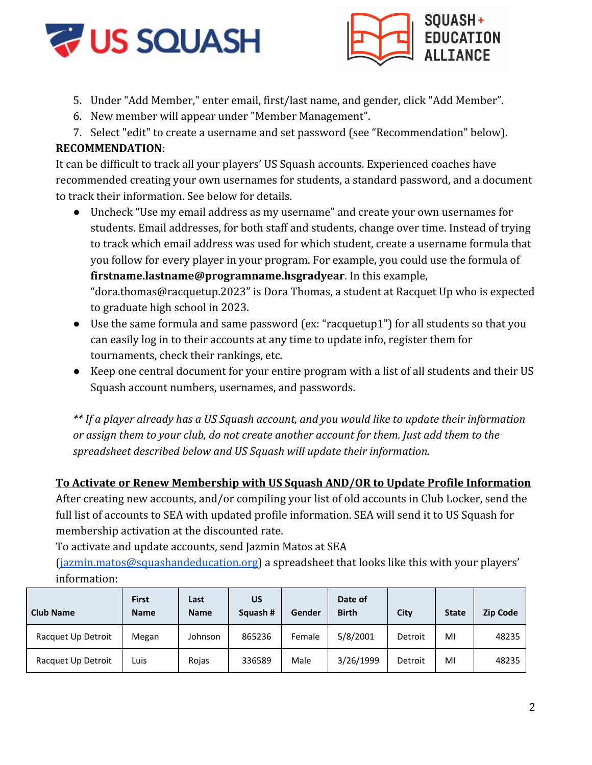



- 5. Under "Add Member," enter email, first/last name, and gender, click "Add Member".
- 6. New member will appear under "Member Management".
- 7. Select "edit" to create a username and set password (see "Recommendation" below).

#### **RECOMMENDATION**:

It can be difficult to track all your players' US Squash accounts. Experienced coaches have recommended creating your own usernames for students, a standard password, and a document to track their information. See below for details.

● Uncheck "Use my email address as my username" and create your own usernames for students. Email addresses, for both staff and students, change over time. Instead of trying to track which email address was used for which student, create a username formula that you follow for every player in your program. For example, you could use the formula of **firstname.lastname@programname.hsgradyear**. In this example,

"dora.thomas@racquetup.2023" is Dora Thomas, a student at Racquet Up who is expected to graduate high school in 2023.

- Use the same formula and same password (ex: "racquetup1") for all students so that you can easily log in to their accounts at any time to update info, register them for tournaments, check their rankings, etc.
- Keep one central document for your entire program with a list of all students and their US Squash account numbers, usernames, and passwords.

*\*\* If a player already has a US Squash account, and you would like to update their information or assign them to your club, do not create another account for them. Just add them to the spreadsheet described below and US Squash will update their information.*

#### **To Activate or Renew Membership with US Squash AND/OR to Update Profile Information**

After creating new accounts, and/or compiling your list of old accounts in Club Locker, send the full list of accounts to SEA with updated profile information. SEA will send it to US Squash for membership activation at the discounted rate.

To activate and update accounts, send Jazmin Matos at SEA

[\(jazmin.matos@squashandeducation.org\)](mailto:jazmin.matos@squashandeducation.org) a spreadsheet that looks like this with your players' information:

| <b>Club Name</b>   | <b>First</b><br><b>Name</b> | Last<br><b>Name</b> | <b>US</b><br>Squash # | Gender | Date of<br><b>Birth</b> | City    | <b>State</b> | <b>Zip Code</b> |
|--------------------|-----------------------------|---------------------|-----------------------|--------|-------------------------|---------|--------------|-----------------|
| Racquet Up Detroit | Megan                       | Johnson             | 865236                | Female | 5/8/2001                | Detroit | MI           | 48235           |
| Racquet Up Detroit | Luis                        | Rojas               | 336589                | Male   | 3/26/1999               | Detroit | MI           | 48235           |